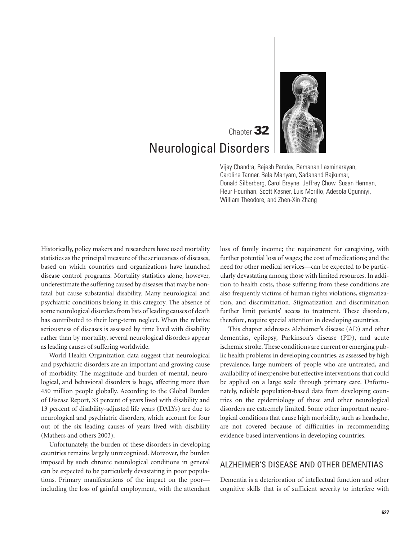# Chapter **32** Neurological Disorders



Vijay Chandra, Rajesh Pandav, Ramanan Laxminarayan, Caroline Tanner, Bala Manyam, Sadanand Rajkumar, Donald Silberberg, Carol Brayne, Jeffrey Chow, Susan Herman, Fleur Hourihan, Scott Kasner, Luis Morillo, Adesola Ogunniyi, William Theodore, and Zhen-Xin Zhang

Historically, policy makers and researchers have used mortality statistics as the principal measure of the seriousness of diseases, based on which countries and organizations have launched disease control programs. Mortality statistics alone, however, underestimate the suffering caused by diseases that may be nonfatal but cause substantial disability. Many neurological and psychiatric conditions belong in this category. The absence of some neurological disorders from lists of leading causes of death has contributed to their long-term neglect. When the relative seriousness of diseases is assessed by time lived with disability rather than by mortality, several neurological disorders appear as leading causes of suffering worldwide.

World Health Organization data suggest that neurological and psychiatric disorders are an important and growing cause of morbidity. The magnitude and burden of mental, neurological, and behavioral disorders is huge, affecting more than 450 million people globally. According to the Global Burden of Disease Report, 33 percent of years lived with disability and 13 percent of disability-adjusted life years (DALYs) are due to neurological and psychiatric disorders, which account for four out of the six leading causes of years lived with disability (Mathers and others 2003).

Unfortunately, the burden of these disorders in developing countries remains largely unrecognized. Moreover, the burden imposed by such chronic neurological conditions in general can be expected to be particularly devastating in poor populations. Primary manifestations of the impact on the poor including the loss of gainful employment, with the attendant

loss of family income; the requirement for caregiving, with further potential loss of wages; the cost of medications; and the need for other medical services—can be expected to be particularly devastating among those with limited resources. In addition to health costs, those suffering from these conditions are also frequently victims of human rights violations, stigmatization, and discrimination. Stigmatization and discrimination further limit patients' access to treatment. These disorders, therefore, require special attention in developing countries.

This chapter addresses Alzheimer's disease (AD) and other dementias, epilepsy, Parkinson's disease (PD), and acute ischemic stroke. These conditions are current or emerging public health problems in developing countries, as assessed by high prevalence, large numbers of people who are untreated, and availability of inexpensive but effective interventions that could be applied on a large scale through primary care. Unfortunately, reliable population-based data from developing countries on the epidemiology of these and other neurological disorders are extremely limited. Some other important neurological conditions that cause high morbidity, such as headache, are not covered because of difficulties in recommending evidence-based interventions in developing countries.

# ALZHEIMER'S DISEASE AND OTHER DEMENTIAS

Dementia is a deterioration of intellectual function and other cognitive skills that is of sufficient severity to interfere with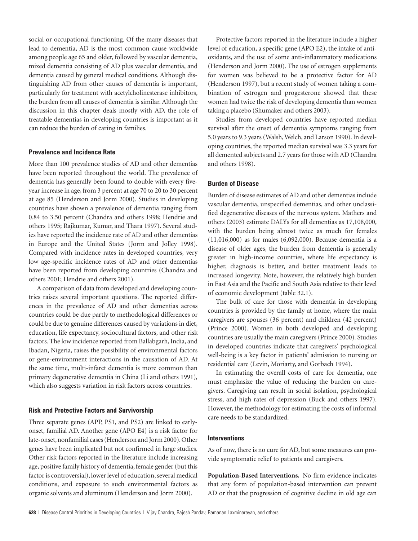social or occupational functioning. Of the many diseases that lead to dementia, AD is the most common cause worldwide among people age 65 and older, followed by vascular dementia, mixed dementia consisting of AD plus vascular dementia, and dementia caused by general medical conditions. Although distinguishing AD from other causes of dementia is important, particularly for treatment with acetylcholinesterase inhibitors, the burden from all causes of dementia is similar. Although the discussion in this chapter deals mostly with AD, the role of treatable dementias in developing countries is important as it can reduce the burden of caring in families.

#### **Prevalence and Incidence Rate**

More than 100 prevalence studies of AD and other dementias have been reported throughout the world. The prevalence of dementia has generally been found to double with every fiveyear increase in age, from 3 percent at age 70 to 20 to 30 percent at age 85 (Henderson and Jorm 2000). Studies in developing countries have shown a prevalence of dementia ranging from 0.84 to 3.50 percent (Chandra and others 1998; Hendrie and others 1995; Rajkumar, Kumar, and Thara 1997). Several studies have reported the incidence rate of AD and other dementias in Europe and the United States (Jorm and Jolley 1998). Compared with incidence rates in developed countries, very low age-specific incidence rates of AD and other dementias have been reported from developing countries (Chandra and others 2001; Hendrie and others 2001).

A comparison of data from developed and developing countries raises several important questions. The reported differences in the prevalence of AD and other dementias across countries could be due partly to methodological differences or could be due to genuine differences caused by variations in diet, education, life expectancy, sociocultural factors, and other risk factors. The low incidence reported from Ballabgarh, India, and Ibadan, Nigeria, raises the possibility of environmental factors or gene-environment interactions in the causation of AD. At the same time, multi-infarct dementia is more common than primary degenerative dementia in China (Li and others 1991), which also suggests variation in risk factors across countries.

#### **Risk and Protective Factors and Survivorship**

Three separate genes (APP, PS1, and PS2) are linked to earlyonset, familial AD. Another gene (APO E4) is a risk factor for late-onset, nonfamilial cases (Henderson and Jorm 2000). Other genes have been implicated but not confirmed in large studies. Other risk factors reported in the literature include increasing age, positive family history of dementia, female gender (but this factor is controversial), lower level of education, several medical conditions, and exposure to such environmental factors as organic solvents and aluminum (Henderson and Jorm 2000).

Protective factors reported in the literature include a higher level of education, a specific gene (APO E2), the intake of antioxidants, and the use of some anti-inflammatory medications (Henderson and Jorm 2000). The use of estrogen supplements for women was believed to be a protective factor for AD (Henderson 1997), but a recent study of women taking a combination of estrogen and progesterone showed that these women had twice the risk of developing dementia than women taking a placebo (Shumaker and others 2003).

Studies from developed countries have reported median survival after the onset of dementia symptoms ranging from 5.0 years to 9.3 years (Walsh, Welch, and Larson 1990). In developing countries, the reported median survival was 3.3 years for all demented subjects and 2.7 years for those with AD (Chandra and others 1998).

## **Burden of Disease**

Burden of disease estimates of AD and other dementias include vascular dementia, unspecified dementias, and other unclassified degenerative diseases of the nervous system. Mathers and others (2003) estimate DALYs for all dementias as 17,108,000, with the burden being almost twice as much for females (11,016,000) as for males (6,092,000). Because dementia is a disease of older ages, the burden from dementia is generally greater in high-income countries, where life expectancy is higher, diagnosis is better, and better treatment leads to increased longevity. Note, however, the relatively high burden in East Asia and the Pacific and South Asia relative to their level of economic development (table 32.1).

The bulk of care for those with dementia in developing countries is provided by the family at home, where the main caregivers are spouses (36 percent) and children (42 percent) (Prince 2000). Women in both developed and developing countries are usually the main caregivers (Prince 2000). Studies in developed countries indicate that caregivers' psychological well-being is a key factor in patients' admission to nursing or residential care (Levin, Moriarty, and Gorbach 1994).

In estimating the overall costs of care for dementia, one must emphasize the value of reducing the burden on caregivers. Caregiving can result in social isolation, psychological stress, and high rates of depression (Buck and others 1997). However, the methodology for estimating the costs of informal care needs to be standardized.

#### **Interventions**

As of now, there is no cure for AD, but some measures can provide symptomatic relief to patients and caregivers.

**Population-Based Interventions.** No firm evidence indicates that any form of population-based intervention can prevent AD or that the progression of cognitive decline in old age can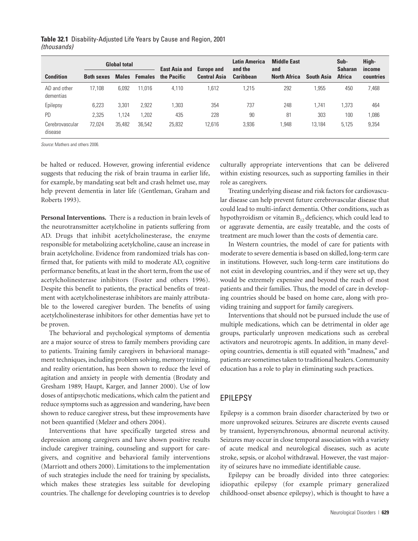|             | Table 32.1 Disability-Adjusted Life Years by Cause and Region, 2001 |  |  |
|-------------|---------------------------------------------------------------------|--|--|
| (thousands) |                                                                     |  |  |

|                            |                   | <b>Global total</b> |                | <b>East Asia and</b> | <b>Europe and</b>   | <b>Latin America</b><br>and the | <b>Middle East</b><br>and |                   | Sub-<br><b>Saharan</b> | High-<br>income |
|----------------------------|-------------------|---------------------|----------------|----------------------|---------------------|---------------------------------|---------------------------|-------------------|------------------------|-----------------|
| <b>Condition</b>           | <b>Both sexes</b> | <b>Males</b>        | <b>Females</b> | the Pacific          | <b>Central Asia</b> | <b>Caribbean</b>                | <b>North Africa</b>       | <b>South Asia</b> | <b>Africa</b>          | countries       |
| AD and other<br>dementias  | 17.108            | 6,092               | 11,016         | 4,110                | 1,612               | 1,215                           | 292                       | ,955              | 450                    | 7,468           |
| Epilepsy                   | 6.223             | 3,301               | 2,922          | ,303                 | 354                 | 737                             | 248                       | 1.741             | 1.373                  | 464             |
| <b>PD</b>                  | 2.325             | 1.124               | .202           | 435                  | 228                 | 90                              | 81                        | 303               | 100                    | ,086            |
| Cerebrovascular<br>disease | 72.024            | 35.482              | 36.542         | 25,832               | 12.616              | 3,936                           | .948                      | 13.184            | 5.125                  | 9,354           |

*Source:* Mathers and others 2006.

be halted or reduced. However, growing inferential evidence suggests that reducing the risk of brain trauma in earlier life, for example, by mandating seat belt and crash helmet use, may help prevent dementia in later life (Gentleman, Graham and Roberts 1993).

**Personal Interventions.** There is a reduction in brain levels of the neurotransmitter acetylcholine in patients suffering from AD. Drugs that inhibit acetylcholinesterase, the enzyme responsible for metabolizing acetylcholine, cause an increase in brain acetylcholine. Evidence from randomized trials has confirmed that, for patients with mild to moderate AD, cognitive performance benefits, at least in the short term, from the use of acetylcholinesterase inhibitors (Foster and others 1996). Despite this benefit to patients, the practical benefits of treatment with acetylcholinesterase inhibitors are mainly attributable to the lowered caregiver burden. The benefits of using acetylcholinesterase inhibitors for other dementias have yet to be proven.

The behavioral and psychological symptoms of dementia are a major source of stress to family members providing care to patients. Training family caregivers in behavioral management techniques, including problem solving, memory training, and reality orientation, has been shown to reduce the level of agitation and anxiety in people with dementia (Brodaty and Gresham 1989; Haupt, Karger, and Janner 2000). Use of low doses of antipsychotic medications, which calm the patient and reduce symptoms such as aggression and wandering, have been shown to reduce caregiver stress, but these improvements have not been quantified (Melzer and others 2004).

Interventions that have specifically targeted stress and depression among caregivers and have shown positive results include caregiver training, counseling and support for caregivers, and cognitive and behavioral family interventions (Marriott and others 2000). Limitations to the implementation of such strategies include the need for training by specialists, which makes these strategies less suitable for developing countries. The challenge for developing countries is to develop culturally appropriate interventions that can be delivered within existing resources, such as supporting families in their role as caregivers.

Treating underlying disease and risk factors for cardiovascular disease can help prevent future cerebrovascular disease that could lead to multi-infarct dementia. Other conditions, such as hypothyroidism or vitamin  $B_{12}$  deficiency, which could lead to or aggravate dementia, are easily treatable, and the costs of treatment are much lower than the costs of dementia care.

In Western countries, the model of care for patients with moderate to severe dementia is based on skilled, long-term care in institutions. However, such long-term care institutions do not exist in developing countries, and if they were set up, they would be extremely expensive and beyond the reach of most patients and their families. Thus, the model of care in developing countries should be based on home care, along with providing training and support for family caregivers.

Interventions that should not be pursued include the use of multiple medications, which can be detrimental in older age groups, particularly unproven medications such as cerebral activators and neurotropic agents. In addition, in many developing countries, dementia is still equated with "madness," and patients are sometimes taken to traditional healers. Community education has a role to play in eliminating such practices.

# EPILEPSY

Epilepsy is a common brain disorder characterized by two or more unprovoked seizures. Seizures are discrete events caused by transient, hypersynchronous, abnormal neuronal activity. Seizures may occur in close temporal association with a variety of acute medical and neurological diseases, such as acute stroke, sepsis, or alcohol withdrawal. However, the vast majority of seizures have no immediate identifiable cause.

Epilepsy can be broadly divided into three categories: idiopathic epilepsy (for example primary generalized childhood-onset absence epilepsy), which is thought to have a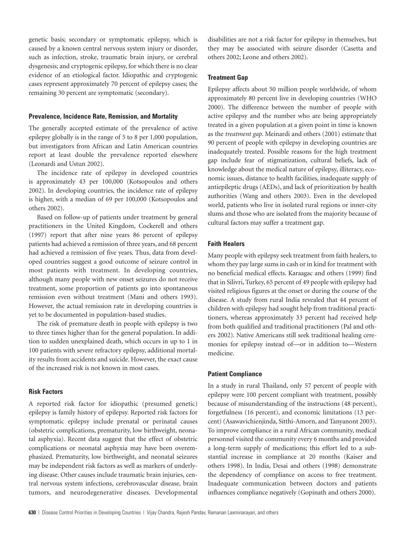genetic basis; secondary or symptomatic epilepsy, which is caused by a known central nervous system injury or disorder, such as infection, stroke, traumatic brain injury, or cerebral dysgenesis; and cryptogenic epilepsy, for which there is no clear evidence of an etiological factor. Idiopathic and cryptogenic cases represent approximately 70 percent of epilepsy cases; the remaining 30 percent are symptomatic (secondary).

#### **Prevalence, Incidence Rate, Remission, and Mortality**

The generally accepted estimate of the prevalence of active epilepsy globally is in the range of 5 to 8 per 1,000 population, but investigators from African and Latin American countries report at least double the prevalence reported elsewhere (Leonardi and Ustun 2002).

The incidence rate of epilepsy in developed countries is approximately 43 per 100,000 (Kotsopoulos and others 2002). In developing countries, the incidence rate of epilepsy is higher, with a median of 69 per 100,000 (Kotsopoulos and others 2002).

Based on follow-up of patients under treatment by general practitioners in the United Kingdom, Cockerell and others (1997) report that after nine years 86 percent of epilepsy patients had achieved a remission of three years, and 68 percent had achieved a remission of five years. Thus, data from developed countries suggest a good outcome of seizure control in most patients with treatment. In developing countries, although many people with new onset seizures do not receive treatment, some proportion of patients go into spontaneous remission even without treatment (Mani and others 1993). However, the actual remission rate in developing countries is yet to be documented in population-based studies.

The risk of premature death in people with epilepsy is two to three times higher than for the general population. In addition to sudden unexplained death, which occurs in up to 1 in 100 patients with severe refractory epilepsy, additional mortality results from accidents and suicide. However, the exact cause of the increased risk is not known in most cases.

#### **Risk Factors**

A reported risk factor for idiopathic (presumed genetic) epilepsy is family history of epilepsy. Reported risk factors for symptomatic epilepsy include prenatal or perinatal causes (obstetric complications, prematurity, low birthweight, neonatal asphyxia). Recent data suggest that the effect of obstetric complications or neonatal asphyxia may have been overemphasized. Prematurity, low birthweight, and neonatal seizures may be independent risk factors as well as markers of underlying disease. Other causes include traumatic brain injuries, central nervous system infections, cerebrovascular disease, brain tumors, and neurodegenerative diseases. Developmental

disabilities are not a risk factor for epilepsy in themselves, but they may be associated with seizure disorder (Casetta and others 2002; Leone and others 2002).

### **Treatment Gap**

Epilepsy affects about 50 million people worldwide, of whom approximately 80 percent live in developing countries (WHO 2000). The difference between the number of people with active epilepsy and the number who are being appropriately treated in a given population at a given point in time is known as the *treatment gap*. Meinardi and others (2001) estimate that 90 percent of people with epilepsy in developing countries are inadequately treated. Possible reasons for the high treatment gap include fear of stigmatization, cultural beliefs, lack of knowledge about the medical nature of epilepsy, illiteracy, economic issues, distance to health facilities, inadequate supply of antiepileptic drugs (AEDs), and lack of prioritization by health authorities (Wang and others 2003). Even in the developed world, patients who live in isolated rural regions or inner-city slums and those who are isolated from the majority because of cultural factors may suffer a treatment gap.

## **Faith Healers**

Many people with epilepsy seek treatment from faith healers, to whom they pay large sums in cash or in kind for treatment with no beneficial medical effects. Karaagac and others (1999) find that in Silivri, Turkey, 65 percent of 49 people with epilepsy had visited religious figures at the onset or during the course of the disease. A study from rural India revealed that 44 percent of children with epilepsy had sought help from traditional practitioners, whereas approximately 33 percent had received help from both qualified and traditional practitioners (Pal and others 2002). Native Americans still seek traditional healing ceremonies for epilepsy instead of—or in addition to—Western medicine.

#### **Patient Compliance**

In a study in rural Thailand, only 57 percent of people with epilepsy were 100 percent compliant with treatment, possibly because of misunderstanding of the instructions (48 percent), forgetfulness (16 percent), and economic limitations (13 percent) (Asawavichienjinda, Sitthi-Amorn, and Tanyanont 2003). To improve compliance in a rural African community, medical personnel visited the community every 6 months and provided a long-term supply of medications; this effort led to a substantial increase in compliance at 20 months (Kaiser and others 1998). In India, Desai and others (1998) demonstrate the dependency of compliance on access to free treatment. Inadequate communication between doctors and patients influences compliance negatively (Gopinath and others 2000).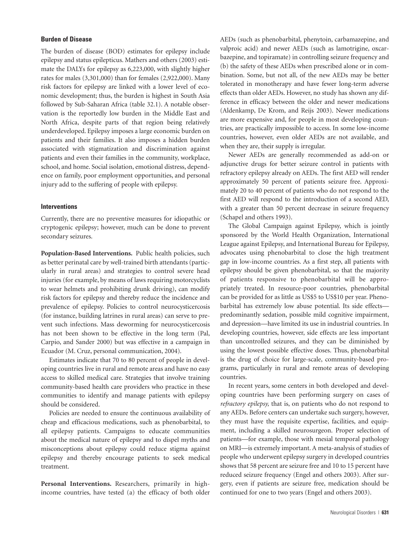#### **Burden of Disease**

The burden of disease (BOD) estimates for epilepsy include epilepsy and status epilepticus. Mathers and others (2003) estimate the DALYs for epilepsy as 6,223,000, with slightly higher rates for males (3,301,000) than for females (2,922,000). Many risk factors for epilepsy are linked with a lower level of economic development; thus, the burden is highest in South Asia followed by Sub-Saharan Africa (table 32.1). A notable observation is the reportedly low burden in the Middle East and North Africa, despite parts of that region being relatively underdeveloped. Epilepsy imposes a large economic burden on patients and their families. It also imposes a hidden burden associated with stigmatization and discrimination against patients and even their families in the community, workplace, school, and home. Social isolation, emotional distress, dependence on family, poor employment opportunities, and personal injury add to the suffering of people with epilepsy.

#### **Interventions**

Currently, there are no preventive measures for idiopathic or cryptogenic epilepsy; however, much can be done to prevent secondary seizures.

Population-Based Interventions. Public health policies, such as better perinatal care by well-trained birth attendants (particularly in rural areas) and strategies to control severe head injuries (for example, by means of laws requiring motorcyclists to wear helmets and prohibiting drunk driving), can modify risk factors for epilepsy and thereby reduce the incidence and prevalence of epilepsy. Policies to control neurocysticercosis (for instance, building latrines in rural areas) can serve to prevent such infections. Mass deworming for neurocysticercosis has not been shown to be effective in the long term (Pal, Carpio, and Sander 2000) but was effective in a campaign in Ecuador (M. Cruz, personal communication, 2004).

Estimates indicate that 70 to 80 percent of people in developing countries live in rural and remote areas and have no easy access to skilled medical care. Strategies that involve training community-based health care providers who practice in these communities to identify and manage patients with epilepsy should be considered.

Policies are needed to ensure the continuous availability of cheap and efficacious medications, such as phenobarbital, to all epilepsy patients. Campaigns to educate communities about the medical nature of epilepsy and to dispel myths and misconceptions about epilepsy could reduce stigma against epilepsy and thereby encourage patients to seek medical treatment.

**Personal Interventions.** Researchers, primarily in highincome countries, have tested (a) the efficacy of both older AEDs (such as phenobarbital, phenytoin, carbamazepine, and valproic acid) and newer AEDs (such as lamotrigine, oxcarbazepine, and topiramate) in controlling seizure frequency and (b) the safety of these AEDs when prescribed alone or in combination. Some, but not all, of the new AEDs may be better tolerated in monotherapy and have fewer long-term adverse effects than older AEDs. However, no study has shown any difference in efficacy between the older and newer medications (Aldenkamp, De Krom, and Reijs 2003). Newer medications are more expensive and, for people in most developing countries, are practically impossible to access. In some low-income countries, however, even older AEDs are not available, and when they are, their supply is irregular.

Newer AEDs are generally recommended as add-on or adjunctive drugs for better seizure control in patients with refractory epilepsy already on AEDs. The first AED will render approximately 50 percent of patients seizure free. Approximately 20 to 40 percent of patients who do not respond to the first AED will respond to the introduction of a second AED, with a greater than 50 percent decrease in seizure frequency (Schapel and others 1993).

The Global Campaign against Epilepsy, which is jointly sponsored by the World Health Organization, International League against Epilepsy, and International Bureau for Epilepsy, advocates using phenobarbital to close the high treatment gap in low-income countries. As a first step, all patients with epilepsy should be given phenobarbital, so that the majority of patients responsive to phenobarbital will be appropriately treated. In resource-poor countries, phenobarbital can be provided for as little as US\$5 to US\$10 per year. Phenobarbital has extremely low abuse potential. Its side effects predominantly sedation, possible mild cognitive impairment, and depression—have limited its use in industrial countries. In developing countries, however, side effects are less important than uncontrolled seizures, and they can be diminished by using the lowest possible effective doses. Thus, phenobarbital is the drug of choice for large-scale, community-based programs, particularly in rural and remote areas of developing countries.

In recent years, some centers in both developed and developing countries have been performing surgery on cases of *refractory epilepsy,* that is, on patients who do not respond to any AEDs. Before centers can undertake such surgery, however, they must have the requisite expertise, facilities, and equipment, including a skilled neurosurgeon. Proper selection of patients—for example, those with mesial temporal pathology on MRI—is extremely important. A meta-analysis of studies of people who underwent epilepsy surgery in developed countries shows that 58 percent are seizure free and 10 to 15 percent have reduced seizure frequency (Engel and others 2003). After surgery, even if patients are seizure free, medication should be continued for one to two years (Engel and others 2003).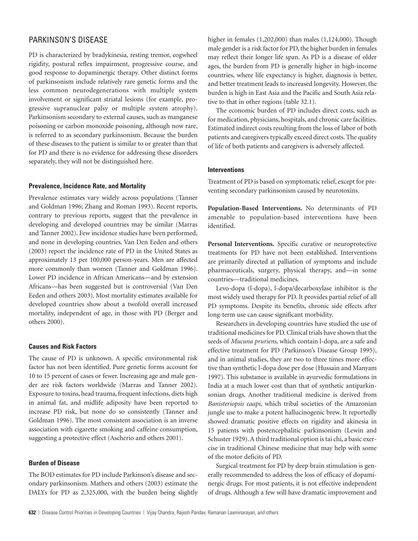# PARKINSON'S DISEASE

PD is characterized by bradykinesia, resting tremor, cogwheel rigidity, postural reflex impairment, progressive course, and good response to dopaminergic therapy. Other distinct forms of parkinsonism include relatively rare genetic forms and the less common neurodegenerations with multiple system involvement or significant striatal lesions (for example, progressive supranuclear palsy or multiple system atrophy). Parkinsonism secondary to external causes, such as manganese poisoning or carbon monoxide poisoning, although now rare, is referred to as secondary parkinsonism. Because the burden of these diseases to the patient is similar to or greater than that for PD and there is no evidence for addressing these disorders separately, they will not be distinguished here.

#### **Prevalence, Incidence Rate, and Mortality**

Prevalence estimates vary widely across populations (Tanner and Goldman 1996; Zhang and Roman 1993). Recent reports, contrary to previous reports, suggest that the prevalence in developing and developed countries may be similar (Marras and Tanner 2002). Few incidence studies have been performed, and none in developing countries. Van Den Eeden and others (2003) report the incidence rate of PD in the United States as approximately 13 per 100,000 person-years. Men are affected more commonly than women (Tanner and Goldman 1996). Lower PD incidence in African Americans—and by extension Africans—has been suggested but is controversial (Van Den Eeden and others 2003). Most mortality estimates available for developed countries show about a twofold overall increased mortality, independent of age, in those with PD (Berger and others 2000).

## **Causes and Risk Factors**

The cause of PD is unknown. A specific environmental risk factor has not been identified. Pure genetic forms account for 10 to 15 percent of cases or fewer. Increasing age and male gender are risk factors worldwide (Marras and Tanner 2002). Exposure to toxins, head trauma, frequent infections, diets high in animal fat, and midlife adiposity have been reported to increase PD risk, but none do so consistently (Tanner and Goldman 1996). The most consistent association is an inverse association with cigarette smoking and caffeine consumption, suggesting a protective effect (Ascherio and others 2001).

## **Burden of Disease**

The BOD estimates for PD include Parkinson's disease and secondary parkinsonism. Mathers and others (2003) estimate the DALYs for PD as 2,325,000, with the burden being slightly higher in females (1,202,000) than males (1,124,000). Though male gender is a risk factor for PD, the higher burden in females may reflect their longer life span. As PD is a disease of older ages, the burden from PD is generally higher in high-income countries, where life expectancy is higher, diagnosis is better, and better treatment leads to increased longevity. However, the burden is high in East Asia and the Pacific and South Asia relative to that in other regions (table 32.1).

The economic burden of PD includes direct costs, such as for medication, physicians, hospitals, and chronic care facilities. Estimated indirect costs resulting from the loss of labor of both patients and caregivers typically exceed direct costs. The quality of life of both patients and caregivers is adversely affected.

## **Interventions**

Treatment of PD is based on symptomatic relief, except for preventing secondary parkinsonism caused by neurotoxins.

**Population-Based Interventions.** No determinants of PD amenable to population-based interventions have been identified.

**Personal Interventions.** Specific curative or neuroprotective treatments for PD have not been established. Interventions are primarily directed at palliation of symptoms and include pharmaceuticals, surgery, physical therapy, and—in some countries—traditional medicines.

Levo-dopa (l-dopa), l-dopa/decarboxylase inhibitor is the most widely used therapy for PD. It provides partial relief of all PD symptoms. Despite its benefits, chronic side effects after long-term use can cause significant morbidity.

Researchers in developing countries have studied the use of traditional medicines for PD. Clinical trials have shown that the seeds of *Mucuna pruriens,* which contain l-dopa, are a safe and effective treatment for PD (Parkinson's Disease Group 1995), and in animal studies, they are two to three times more effective than synthetic l-dopa dose per dose (Hussain and Manyam 1997). This substance is available in ayurvedic formulations in India at a much lower cost than that of synthetic antiparkinsonian drugs. Another traditional medicine is derived from *Banisteriopsis caapi,* which tribal societies of the Amazonian jungle use to make a potent hallucinogenic brew. It reportedly showed dramatic positive effects on rigidity and akinesia in 15 patients with postencephalitic parkinsonism (Lewin and Schuster 1929). A third traditional option is tai chi, a basic exercise in traditional Chinese medicine that may help with some of the motor deficits of PD.

Surgical treatment for PD by deep brain stimulation is generally recommended to address the loss of efficacy of dopaminergic drugs. For most patients, it is not effective independent of drugs. Although a few will have dramatic improvement and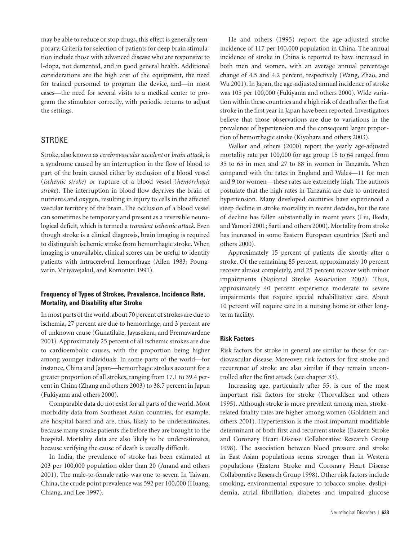may be able to reduce or stop drugs, this effect is generally temporary. Criteria for selection of patients for deep brain stimulation include those with advanced disease who are responsive to l-dopa, not demented, and in good general health. Additional considerations are the high cost of the equipment, the need for trained personnel to program the device, and—in most cases—the need for several visits to a medical center to program the stimulator correctly, with periodic returns to adjust the settings.

# **STROKE**

Stroke, also known as *cerebrovascular accident* or *brain attack,* is a syndrome caused by an interruption in the flow of blood to part of the brain caused either by occlusion of a blood vessel (*ischemic stroke*) or rupture of a blood vessel (*hemorrhagic stroke*). The interruption in blood flow deprives the brain of nutrients and oxygen, resulting in injury to cells in the affected vascular territory of the brain. The occlusion of a blood vessel can sometimes be temporary and present as a reversible neurological deficit, which is termed a *transient ischemic attack*. Even though stroke is a clinical diagnosis, brain imaging is required to distinguish ischemic stroke from hemorrhagic stroke. When imaging is unavailable, clinical scores can be useful to identify patients with intracerebral hemorrhage (Allen 1983; Poungvarin, Viriyavejakul, and Komontri 1991).

## **Frequency of Types of Strokes, Prevalence, Incidence Rate, Mortality, and Disability after Stroke**

In most parts of the world, about 70 percent of strokes are due to ischemia, 27 percent are due to hemorrhage, and 3 percent are of unknown cause (Gunatilake, Jayasekera, and Premawardene 2001). Approximately 25 percent of all ischemic strokes are due to cardioembolic causes, with the proportion being higher among younger individuals. In some parts of the world—for instance, China and Japan—hemorrhagic strokes account for a greater proportion of all strokes, ranging from 17.1 to 39.4 percent in China (Zhang and others 2003) to 38.7 percent in Japan (Fukiyama and others 2000).

Comparable data do not exist for all parts of the world. Most morbidity data from Southeast Asian countries, for example, are hospital based and are, thus, likely to be underestimates, because many stroke patients die before they are brought to the hospital. Mortality data are also likely to be underestimates, because verifying the cause of death is usually difficult.

In India, the prevalence of stroke has been estimated at 203 per 100,000 population older than 20 (Anand and others 2001). The male-to-female ratio was one to seven. In Taiwan, China, the crude point prevalence was 592 per 100,000 (Huang, Chiang, and Lee 1997).

He and others (1995) report the age-adjusted stroke incidence of 117 per 100,000 population in China. The annual incidence of stroke in China is reported to have increased in both men and women, with an average annual percentage change of 4.5 and 4.2 percent, respectively (Wang, Zhao, and Wu 2001). In Japan, the age-adjusted annual incidence of stroke was 105 per 100,000 (Fukiyama and others 2000). Wide variation within these countries and a high risk of death after the first stroke in the first year in Japan have been reported. Investigators believe that those observations are due to variations in the prevalence of hypertension and the consequent larger proportion of hemorrhagic stroke (Kiyohara and others 2003).

Walker and others (2000) report the yearly age-adjusted mortality rate per 100,000 for age group 15 to 64 ranged from 35 to 65 in men and 27 to 88 in women in Tanzania. When compared with the rates in England and Wales—11 for men and 9 for women—these rates are extremely high. The authors postulate that the high rates in Tanzania are due to untreated hypertension. Many developed countries have experienced a steep decline in stroke mortality in recent decades, but the rate of decline has fallen substantially in recent years (Liu, Ikeda, and Yamori 2001; Sarti and others 2000). Mortality from stroke has increased in some Eastern European countries (Sarti and others 2000).

Approximately 15 percent of patients die shortly after a stroke. Of the remaining 85 percent, approximately 10 percent recover almost completely, and 25 percent recover with minor impairments (National Stroke Association 2002). Thus, approximately 40 percent experience moderate to severe impairments that require special rehabilitative care. About 10 percent will require care in a nursing home or other longterm facility.

## **Risk Factors**

Risk factors for stroke in general are similar to those for cardiovascular disease. Moreover, risk factors for first stroke and recurrence of stroke are also similar if they remain uncontrolled after the first attack (see chapter 33).

Increasing age, particularly after 55, is one of the most important risk factors for stroke (Thorvaldsen and others 1995). Although stroke is more prevalent among men, strokerelated fatality rates are higher among women (Goldstein and others 2001). Hypertension is the most important modifiable determinant of both first and recurrent stroke (Eastern Stroke and Coronary Heart Disease Collaborative Research Group 1998). The association between blood pressure and stroke in East Asian populations seems stronger than in Western populations (Eastern Stroke and Coronary Heart Disease Collaborative Research Group 1998). Other risk factors include smoking, environmental exposure to tobacco smoke, dyslipidemia, atrial fibrillation, diabetes and impaired glucose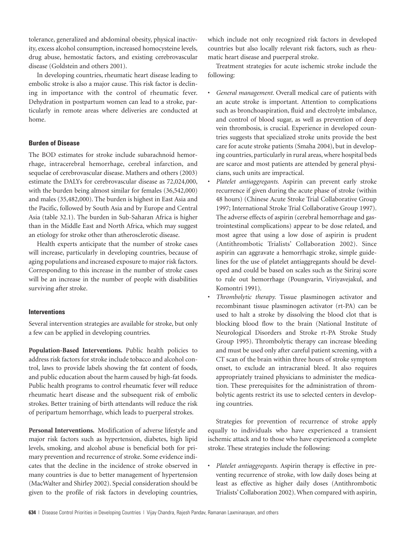tolerance, generalized and abdominal obesity, physical inactivity, excess alcohol consumption, increased homocysteine levels, drug abuse, hemostatic factors, and existing cerebrovascular disease (Goldstein and others 2001).

In developing countries, rheumatic heart disease leading to embolic stroke is also a major cause. This risk factor is declining in importance with the control of rheumatic fever. Dehydration in postpartum women can lead to a stroke, particularly in remote areas where deliveries are conducted at home.

## **Burden of Disease**

The BOD estimates for stroke include subarachnoid hemorrhage, intracerebral hemorrhage, cerebral infarction, and sequelae of cerebrovascular disease. Mathers and others (2003) estimate the DALYs for cerebrovascular disease as 72,024,000, with the burden being almost similar for females (36,542,000) and males (35,482,000). The burden is highest in East Asia and the Pacific, followed by South Asia and by Europe and Central Asia (table 32.1). The burden in Sub-Saharan Africa is higher than in the Middle East and North Africa, which may suggest an etiology for stroke other than atherosclerotic disease.

Health experts anticipate that the number of stroke cases will increase, particularly in developing countries, because of aging populations and increased exposure to major risk factors. Corresponding to this increase in the number of stroke cases will be an increase in the number of people with disabilities surviving after stroke.

## **Interventions**

Several intervention strategies are available for stroke, but only a few can be applied in developing countries.

Population-Based Interventions. Public health policies to address risk factors for stroke include tobacco and alcohol control, laws to provide labels showing the fat content of foods, and public education about the harm caused by high-fat foods. Public health programs to control rheumatic fever will reduce rheumatic heart disease and the subsequent risk of embolic strokes. Better training of birth attendants will reduce the risk of peripartum hemorrhage, which leads to puerperal strokes.

**Personal Interventions.** Modification of adverse lifestyle and major risk factors such as hypertension, diabetes, high lipid levels, smoking, and alcohol abuse is beneficial both for primary prevention and recurrence of stroke. Some evidence indicates that the decline in the incidence of stroke observed in many countries is due to better management of hypertension (MacWalter and Shirley 2002). Special consideration should be given to the profile of risk factors in developing countries,

which include not only recognized risk factors in developed countries but also locally relevant risk factors, such as rheumatic heart disease and puerperal stroke.

Treatment strategies for acute ischemic stroke include the following:

- *General management.* Overall medical care of patients with an acute stroke is important. Attention to complications such as bronchoaspiration, fluid and electrolyte imbalance, and control of blood sugar, as well as prevention of deep vein thrombosis, is crucial. Experience in developed countries suggests that specialized stroke units provide the best care for acute stroke patients (Smaha 2004), but in developing countries, particularly in rural areas, where hospital beds are scarce and most patients are attended by general physicians, such units are impractical.
- *Platelet antiaggregants.* Aspirin can prevent early stroke recurrence if given during the acute phase of stroke (within 48 hours) (Chinese Acute Stroke Trial Collaborative Group 1997; International Stroke Trial Collaborative Group 1997). The adverse effects of aspirin (cerebral hemorrhage and gastrointestinal complications) appear to be dose related, and most agree that using a low dose of aspirin is prudent (Antithrombotic Trialists' Collaboration 2002). Since aspirin can aggravate a hemorrhagic stroke, simple guidelines for the use of platelet antiaggregants should be developed and could be based on scales such as the Siriraj score to rule out hemorrhage (Poungvarin, Viriyavejakul, and Komontri 1991).
- *Thrombolytic therapy.* Tissue plasminogen activator and recombinant tissue plasminogen activator (rt-PA) can be used to halt a stroke by dissolving the blood clot that is blocking blood flow to the brain (National Institute of Neurological Disorders and Stroke rt-PA Stroke Study Group 1995). Thrombolytic therapy can increase bleeding and must be used only after careful patient screening, with a CT scan of the brain within three hours of stroke symptom onset, to exclude an intracranial bleed. It also requires appropriately trained physicians to administer the medication. These prerequisites for the administration of thrombolytic agents restrict its use to selected centers in developing countries.

Strategies for prevention of recurrence of stroke apply equally to individuals who have experienced a transient ischemic attack and to those who have experienced a complete stroke. These strategies include the following:

• *Platelet antiaggregants.* Aspirin therapy is effective in preventing recurrence of stroke, with low daily doses being at least as effective as higher daily doses (Antithrombotic Trialists' Collaboration 2002). When compared with aspirin,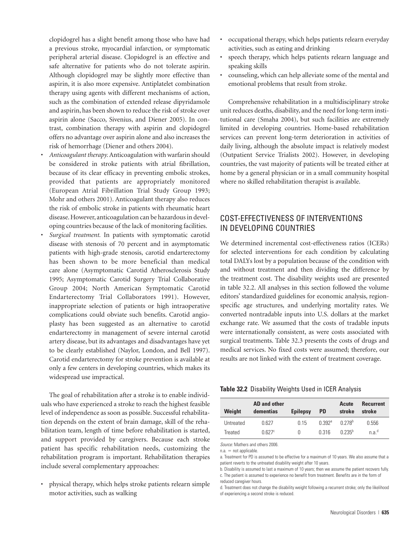clopidogrel has a slight benefit among those who have had a previous stroke, myocardial infarction, or symptomatic peripheral arterial disease. Clopidogrel is an effective and safe alternative for patients who do not tolerate aspirin. Although clopidogrel may be slightly more effective than aspirin, it is also more expensive. Antiplatelet combination therapy using agents with different mechanisms of action, such as the combination of extended release dipyridamole and aspirin, has been shown to reduce the risk of stroke over aspirin alone (Sacco, Sivenius, and Diener 2005). In contrast, combination therapy with aspirin and clopidogrel offers no advantage over aspirin alone and also increases the risk of hemorrhage (Diener and others 2004).

- *Anticoagulant therapy.*Anticoagulation with warfarin should be considered in stroke patients with atrial fibrillation, because of its clear efficacy in preventing embolic strokes, provided that patients are appropriately monitored (European Atrial Fibrillation Trial Study Group 1993; Mohr and others 2001). Anticoagulant therapy also reduces the risk of embolic stroke in patients with rheumatic heart disease. However, anticoagulation can be hazardous in developing countries because of the lack of monitoring facilities.
- *Surgical treatment.* In patients with symptomatic carotid disease with stenosis of 70 percent and in asymptomatic patients with high-grade stenosis, carotid endarterectomy has been shown to be more beneficial than medical care alone (Asymptomatic Carotid Atherosclerosis Study 1995; Asymptomatic Carotid Surgery Trial Collaborative Group 2004; North American Symptomatic Carotid Endarterectomy Trial Collaborators 1991). However, inappropriate selection of patients or high intraoperative complications could obviate such benefits. Carotid angioplasty has been suggested as an alternative to carotid endarterectomy in management of severe internal carotid artery disease, but its advantages and disadvantages have yet to be clearly established (Naylor, London, and Bell 1997). Carotid endarterectomy for stroke prevention is available at only a few centers in developing countries, which makes its widespread use impractical.

The goal of rehabilitation after a stroke is to enable individuals who have experienced a stroke to reach the highest feasible level of independence as soon as possible. Successful rehabilitation depends on the extent of brain damage, skill of the rehabilitation team, length of time before rehabilitation is started, and support provided by caregivers. Because each stroke patient has specific rehabilitation needs, customizing the rehabilitation program is important. Rehabilitation therapies include several complementary approaches:

• physical therapy, which helps stroke patients relearn simple motor activities, such as walking

- occupational therapy, which helps patients relearn everyday activities, such as eating and drinking
- speech therapy, which helps patients relearn language and speaking skills
- counseling, which can help alleviate some of the mental and emotional problems that result from stroke.

Comprehensive rehabilitation in a multidisciplinary stroke unit reduces deaths, disability, and the need for long-term institutional care (Smaha 2004), but such facilities are extremely limited in developing countries. Home-based rehabilitation services can prevent long-term deterioration in activities of daily living, although the absolute impact is relatively modest (Outpatient Service Trialists 2002). However, in developing countries, the vast majority of patients will be treated either at home by a general physician or in a small community hospital where no skilled rehabilitation therapist is available.

# COST-EFFECTIVENESS OF INTERVENTIONS IN DEVELOPING COUNTRIES

We determined incremental cost-effectiveness ratios (ICERs) for selected interventions for each condition by calculating total DALYs lost by a population because of the condition with and without treatment and then dividing the difference by the treatment cost. The disability weights used are presented in table 32.2. All analyses in this section followed the volume editors' standardized guidelines for economic analysis, regionspecific age structures, and underlying mortality rates. We converted nontradable inputs into U.S. dollars at the market exchange rate. We assumed that the costs of tradable inputs were internationally consistent, as were costs associated with surgical treatments. Table 32.3 presents the costs of drugs and medical services. No fixed costs were assumed; therefore, our results are not linked with the extent of treatment coverage.

| <b>Table 32.2</b> Disability Weights Used in ICER Analysis |  |  |  |  |  |
|------------------------------------------------------------|--|--|--|--|--|
|------------------------------------------------------------|--|--|--|--|--|

| Weight    | <b>AD and other</b><br>dementias | <b>Epilepsy</b> | <b>PD</b> | Acute<br>stroke | <b>Recurrent</b><br>stroke |
|-----------|----------------------------------|-----------------|-----------|-----------------|----------------------------|
| Untreated | በ 627                            | 0.15            | 0.392a    | $0.278^{b}$     | 0.556                      |
| Treated   | 0.627c                           | 0               | 0.316     | $0.235^{b}$     | n a <sup>d</sup>           |

*Source:* Mathers and others 2006*.*

 $n.a. = not applicable.$ 

a. Treatment for PD is assumed to be effective for a maximum of 10 years. We also assume that a patient reverts to the untreated disability weight after 10 years.

b. Disability is assumed to last a maximum of 10 years; then we assume the patient recovers fully. c. The patient is assumed to experience no benefit from treatment. Benefits are in the form of reduced caregiver hours.

d. Treatment does not change the disability weight following a recurrent stroke; only the likelihood of experiencing a second stroke is reduced.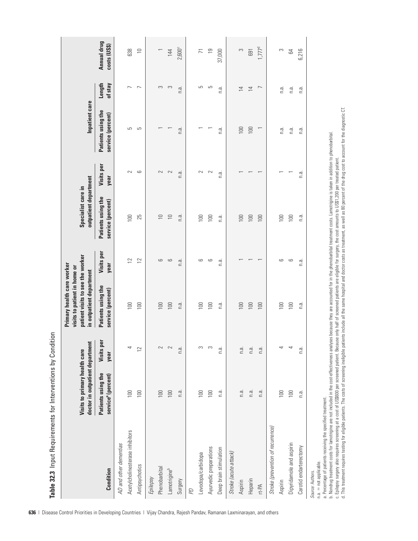|                                   | doctor in outpatient department<br>Visits to primary health care |                    | patient visits to see the worker<br>Primary health care worker<br>visits to patient in home or<br>in outpatient department |                    | outpatient department<br>Specialist care in |                    | Inpatient care                          |                   |                             |
|-----------------------------------|------------------------------------------------------------------|--------------------|----------------------------------------------------------------------------------------------------------------------------|--------------------|---------------------------------------------|--------------------|-----------------------------------------|-------------------|-----------------------------|
| Condition                         | Patients using the<br>serviceª (percent)                         | Visits per<br>year | Patients using the<br>service (percent)                                                                                    | Visits per<br>year | Patients using the<br>service (percent)     | Visits per<br>year | Patients using the<br>service (percent) | Length<br>of stay | Annual drug<br>costs (US\$) |
| AD and other dementias            |                                                                  |                    |                                                                                                                            |                    |                                             |                    |                                         |                   |                             |
| Acetylcholinesterase inhibitors   | 100                                                              | 4                  | 100                                                                                                                        | $\overline{c}$     | $\Xi$                                       | $\sim$             | 5                                       |                   | 638                         |
| Antipsychotics                    | 100                                                              | $\overline{2}$     | 100                                                                                                                        | $\overline{2}$     | 25                                          | 9                  | 5                                       | $\overline{ }$    | $\supseteq$                 |
| Epilepsy                          |                                                                  |                    |                                                                                                                            |                    |                                             |                    |                                         |                   |                             |
| Phenobarbital                     | 100                                                              | 2                  | 100                                                                                                                        | 6                  | $\supseteq$                                 | $\sim$             |                                         | S                 |                             |
| Lamotrigine <sup>b</sup>          | 100                                                              | $\sim$             | 100                                                                                                                        | 9                  | $\supseteq$                                 | $\sim$             |                                         | S                 | 144                         |
| Surgery                           | n.a.                                                             | n.a.               | $\overline{n}$ .                                                                                                           | n.a.               | n.a.                                        | $\overline{n}$ .   | n.a.                                    | n.a.              | 2,600°                      |
| PD                                |                                                                  |                    |                                                                                                                            |                    |                                             |                    |                                         |                   |                             |
| Levodopa/carbidopa                | 100                                                              | S                  | 100                                                                                                                        | 6                  | $\Xi$                                       | $\sim$             |                                         | 5                 | π                           |
| Ayurvedic preparations            | 100                                                              | 3                  | 100                                                                                                                        | 9                  | 100                                         | $\sim$             |                                         | G                 | $\overline{0}$              |
| Deep brain stimulation            | n.a.                                                             | n.a.               | $\overline{n}$ .                                                                                                           | n.a.               | n.a.                                        | n.a.               | n.a.                                    | n.a.              | 37,000                      |
| Stroke (acute attack)             |                                                                  |                    |                                                                                                                            |                    |                                             |                    |                                         |                   |                             |
| Aspirin                           | $\overline{n}$ .                                                 | n.a.               | 100                                                                                                                        |                    | 100                                         |                    | 100                                     | $\overline{4}$    | S                           |
| Heparin                           | n.a.                                                             | n.a.               | 100                                                                                                                        |                    | 100                                         |                    | 100                                     | $\overline{4}$    | 691                         |
| $rt-PA$                           | n.a.                                                             | n.a.               | 100                                                                                                                        |                    | 100                                         |                    |                                         | $\overline{ }$    | $1,77^{d}$                  |
| Stroke (prevention of recurrence) |                                                                  |                    |                                                                                                                            |                    |                                             |                    |                                         |                   |                             |
| Aspirin                           | 100                                                              | 4                  | $\Xi$                                                                                                                      | 6                  | 100                                         |                    | n.a.                                    | n.a.              | S                           |
| Dipyridamole and aspirin          | 100                                                              | 4                  | 100                                                                                                                        | 9                  | 100                                         |                    | n.a.                                    | n.a.              | 64                          |
| Carotid endarterectomy            | n.a.                                                             | n.a.               | $\overline{n}$ .                                                                                                           |                    |                                             |                    |                                         |                   | 6,216                       |

Source: Authors. *Source:* Authors.

 $n.a. = not applicable.$ not applicable.

a. Percentage of patients receiving the specified treatment.

b. Nondrug treatment costs for lamotrigine are not included in the cost-effectiveness analyses because they are accounted for in the phenobarbital treatment costs. Lamotrigine is taken in addition to phenobarbital.

c. Epilepsy surgery also requires screening at a cost of US\$600 per screened patient. Because only half of screened patients are eligible for surgery, the cost amounts to US\$1,200 per treated patient.

a. Percentage of patients receiving the specified treatment.<br>b. Nondrug treatment costs for lamotrigine are not included in the cost-effectiveness analyses because they are accounted for in the phenobarbital treatment cost d. This treatment requires testing for eligible patients. The costs of screening ineligible patients include all the same hocapiral and doctor costs as treatment, as well as 80 percent of the drug cost to account for the d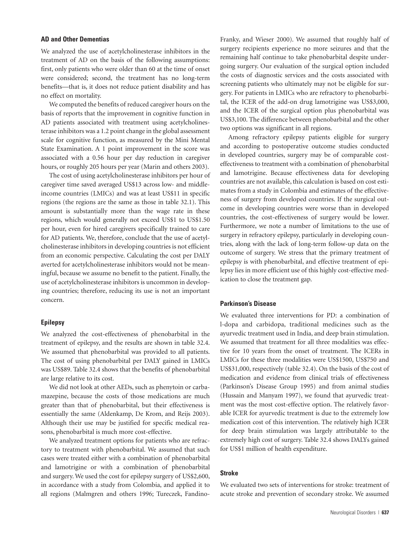#### **AD and Other Dementias**

We analyzed the use of acetylcholinesterase inhibitors in the treatment of AD on the basis of the following assumptions: first, only patients who were older than 60 at the time of onset were considered; second, the treatment has no long-term benefits—that is, it does not reduce patient disability and has no effect on mortality.

We computed the benefits of reduced caregiver hours on the basis of reports that the improvement in cognitive function in AD patients associated with treatment using acetylcholinesterase inhibitors was a 1.2 point change in the global assessment scale for cognitive function, as measured by the Mini Mental State Examination. A 1 point improvement in the score was associated with a 0.56 hour per day reduction in caregiver hours, or roughly 205 hours per year (Marin and others 2003).

The cost of using acetylcholinesterase inhibitors per hour of caregiver time saved averaged US\$13 across low- and middleincome countries (LMICs) and was at least US\$11 in specific regions (the regions are the same as those in table 32.1). This amount is substantially more than the wage rate in these regions, which would generally not exceed US\$1 to US\$1.50 per hour, even for hired caregivers specifically trained to care for AD patients. We, therefore, conclude that the use of acetylcholinesterase inhibitors in developing countries is not efficient from an economic perspective. Calculating the cost per DALY averted for acetylcholinesterase inhibitors would not be meaningful, because we assume no benefit to the patient. Finally, the use of acetylcholinesterase inhibitors is uncommon in developing countries; therefore, reducing its use is not an important concern.

#### **Epilepsy**

We analyzed the cost-effectiveness of phenobarbital in the treatment of epilepsy, and the results are shown in table 32.4. We assumed that phenobarbital was provided to all patients. The cost of using phenobarbital per DALY gained in LMICs was US\$89. Table 32.4 shows that the benefits of phenobarbital are large relative to its cost.

We did not look at other AEDs, such as phenytoin or carbamazepine, because the costs of those medications are much greater than that of phenobarbital, but their effectiveness is essentially the same (Aldenkamp, De Krom, and Reijs 2003). Although their use may be justified for specific medical reasons, phenobarbital is much more cost-effective.

We analyzed treatment options for patients who are refractory to treatment with phenobarbital. We assumed that such cases were treated either with a combination of phenobarbital and lamotrigine or with a combination of phenobarbital and surgery. We used the cost for epilepsy surgery of US\$2,600, in accordance with a study from Colombia, and applied it to all regions (Malmgren and others 1996; Tureczek, FandinoFranky, and Wieser 2000). We assumed that roughly half of surgery recipients experience no more seizures and that the remaining half continue to take phenobarbital despite undergoing surgery. Our evaluation of the surgical option included the costs of diagnostic services and the costs associated with screening patients who ultimately may not be eligible for surgery. For patients in LMICs who are refractory to phenobarbital, the ICER of the add-on drug lamotrigine was US\$3,000, and the ICER of the surgical option plus phenobarbital was US\$3,100. The difference between phenobarbital and the other two options was significant in all regions.

Among refractory epilepsy patients eligible for surgery and according to postoperative outcome studies conducted in developed countries, surgery may be of comparable costeffectiveness to treatment with a combination of phenobarbital and lamotrigine. Because effectiveness data for developing countries are not available, this calculation is based on cost estimates from a study in Colombia and estimates of the effectiveness of surgery from developed countries. If the surgical outcome in developing countries were worse than in developed countries, the cost-effectiveness of surgery would be lower. Furthermore, we note a number of limitations to the use of surgery in refractory epilepsy, particularly in developing countries, along with the lack of long-term follow-up data on the outcome of surgery. We stress that the primary treatment of epilepsy is with phenobarbital, and effective treatment of epilepsy lies in more efficient use of this highly cost-effective medication to close the treatment gap.

### **Parkinson's Disease**

We evaluated three interventions for PD: a combination of l-dopa and carbidopa, traditional medicines such as the ayurvedic treatment used in India, and deep brain stimulation. We assumed that treatment for all three modalities was effective for 10 years from the onset of treatment. The ICERs in LMICs for these three modalities were US\$1500, US\$750 and US\$31,000, respectively (table 32.4). On the basis of the cost of medication and evidence from clinical trials of effectiveness (Parkinson's Disease Group 1995) and from animal studies (Hussain and Manyam 1997), we found that ayurvedic treatment was the most cost-effective option. The relatively favorable ICER for ayurvedic treatment is due to the extremely low medication cost of this intervention. The relatively high ICER for deep brain stimulation was largely attributable to the extremely high cost of surgery. Table 32.4 shows DALYs gained for US\$1 million of health expenditure.

## **Stroke**

We evaluated two sets of interventions for stroke: treatment of acute stroke and prevention of secondary stroke. We assumed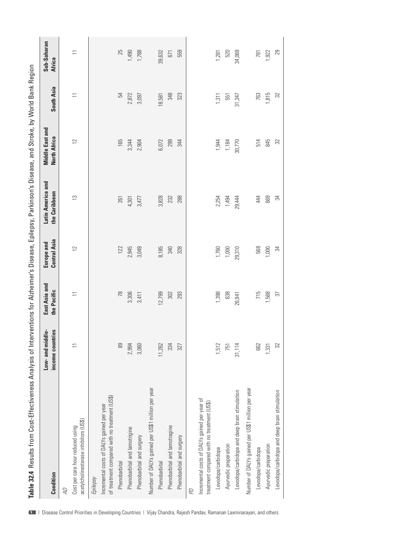| Condition                                                                                    | untries<br>niddle-<br>income cor<br>Low-and n | East Asia and<br>the Pacific | <b>Central Asia</b><br>Europe and | Latin America and<br>the Caribbean | Middle East and<br>North Africa | South Asia | Sub-Saharan<br><b>Africa</b> |
|----------------------------------------------------------------------------------------------|-----------------------------------------------|------------------------------|-----------------------------------|------------------------------------|---------------------------------|------------|------------------------------|
| AD                                                                                           |                                               |                              |                                   |                                    |                                 |            |                              |
| acetylcholinesterase inhibitors (US\$)<br>Cost per care hour reduced using                   |                                               |                              | 12                                | $\tilde{c}$                        | $\overline{2}$                  | $\equiv$   |                              |
| Epilepsy                                                                                     |                                               |                              |                                   |                                    |                                 |            |                              |
| of treatment compared with no treatment (US\$)<br>Incremental costs of DALYs gained per year |                                               |                              |                                   |                                    |                                 |            |                              |
| Phenobarbital                                                                                | 89                                            | 78                           | 122                               | 261                                | 165                             | 54         | 25                           |
| Phenobarbital and lamotrigine                                                                | 2,994                                         | 3,306                        | 2,945                             | 4,301                              | 3,344                           | 2,872      | 1,490                        |
| Phenobarbital and surgery                                                                    | 3,060                                         | 3,411                        | 3,049                             | 3,477                              | 2,904                           | 3,097      | 1,788                        |
| Number of DALYs gained per US\$1 million per year                                            |                                               |                              |                                   |                                    |                                 |            |                              |
| Phenobarbital                                                                                | 11,262                                        | 12,799                       | 8,185                             | 3,828                              | 6,072                           | 18,581     | 39,632                       |
| Phenobarbital and lamotragine                                                                | 334                                           | 302                          | 340                               | 232                                | 299                             | 348        | 671                          |
| Phenobarbital and surgery                                                                    | 327                                           | 293                          | 328                               | 288                                | 344                             | 323        | 559                          |
| PD                                                                                           |                                               |                              |                                   |                                    |                                 |            |                              |
| Incremental costs of DALYs gained per year of<br>treatment compared with no treatment (US\$) |                                               |                              |                                   |                                    |                                 |            |                              |
| Levodopa/carbidopa                                                                           | 1,512                                         | 1,398                        | 1,760                             | 2,254                              | 1,944                           | 1,311      | 1,281                        |
| Ayurvedic preparation                                                                        | $\overline{75}$                               | 638                          | 1,000                             | 1,494                              | 1,184                           | 551        | 520                          |
| Levodopa/carbidopa and deep brain stimulation                                                | 31,114                                        | 26,941                       | 29,310                            | 29,444                             | 30,770                          | 31,347     | 34,069                       |
| Number of DALYs gained per US\$1 million per year                                            |                                               |                              |                                   |                                    |                                 |            |                              |
| Levodopa/carbidopa                                                                           | 662                                           | 715                          | 568                               | 444                                | 514                             | 763        | 781                          |
| Ayurvedic preparation                                                                        | 1,331                                         | 1,568                        | 000,                              | 669                                | 845                             | 1,815      | ,922                         |
| Levodopa/carbidopa and deep brain stimulation                                                | 55                                            | $\overline{3}$               | 34                                | 34                                 | 32                              | 32         | 29                           |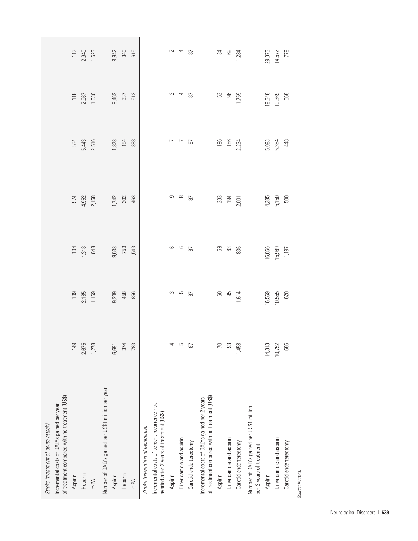| Stroke (treatment of acute attack)                                                              |                |                       |         |                       |                     |                       |                         |
|-------------------------------------------------------------------------------------------------|----------------|-----------------------|---------|-----------------------|---------------------|-----------------------|-------------------------|
| of treatment compared with no treatment (US\$)<br>Incremental costs of DALYs gained per year    |                |                       |         |                       |                     |                       |                         |
| Aspirin                                                                                         | 149            |                       | 104     |                       | 534                 |                       |                         |
| Heparin                                                                                         | 2,675          | 109<br>2,185<br>1,169 | .318    | 574<br>4,952<br>2,158 | 5,443               | 118<br>2,967<br>1,630 | $112$<br>2,940<br>1,623 |
| $A$ -PA                                                                                         | 1,278          |                       | 648     |                       | 2,516               |                       |                         |
| Number of DALYs gained per US\$1 million per year                                               |                |                       |         |                       |                     |                       |                         |
| Aspirin                                                                                         | 6,691          | 9,209                 | 9,633   |                       | 1,873               | 8,463                 | 8,942                   |
| Heparin                                                                                         | 374            | 458                   | 759     | 1,742<br>202          | 184                 | 337                   | 340                     |
| rt-PA                                                                                           | 783            | 856                   | 1,543   | 463                   | 398                 | 613                   | 616                     |
| Stroke (prevention of recurrence)                                                               |                |                       |         |                       |                     |                       |                         |
| Incremental costs of percent recurrence risk                                                    |                |                       |         |                       |                     |                       |                         |
| averted after 2 years of treatment (US\$)                                                       |                |                       |         |                       |                     |                       |                         |
| Aspirin                                                                                         | 4              | က ဟ                   | 6       | Θ                     |                     |                       |                         |
| Dipyridamole and aspirin                                                                        | $\Omega$       |                       | 6       | $\infty$              | $\overline{z}$      | $\sim$ 4              | $\sim$ 4                |
| Carotid endarterectomy                                                                          | $\overline{8}$ | $\overline{8}$        | 55      | $\overline{8}$        | $\overline{8}$      | $\overline{8}$        | $\overline{8}$          |
| of treatment compared with no treatment (US\$)<br>Incremental costs of DALYs gained per 2 years |                |                       |         |                       |                     |                       |                         |
| Aspirin                                                                                         | $\sqrt{2}$     |                       |         |                       |                     | 52                    |                         |
| Dipyridamole and aspirin                                                                        | SS             | 8<br>8<br>9           | $B$ $B$ | $233$<br>194<br>2,001 | 196<br>186<br>2,234 | 96                    | 34<br>69                |
| Carotid endarterectomy                                                                          | 1,458          | 1,614                 | 836     |                       |                     | 1,759                 | 1,284                   |
| Number of DALYs gained per US\$1 million<br>per 2 years of treatment                            |                |                       |         |                       |                     |                       |                         |
| Aspirin                                                                                         | 14,313         | 16,569                | 16,866  | 4,285<br>5,150        | 5,093               | 19,348                | 29,373                  |
| Dipyridamole and aspirin                                                                        | 10,752         | 10,555                | 15,969  |                       | 5,384               | 10,369                | 14,572                  |
| Carotid endarterectomy                                                                          | 686            | 620                   | 1,197   | 500                   | 448                 | 568                   | 779                     |
| Source: Authors.                                                                                |                |                       |         |                       |                     |                       |                         |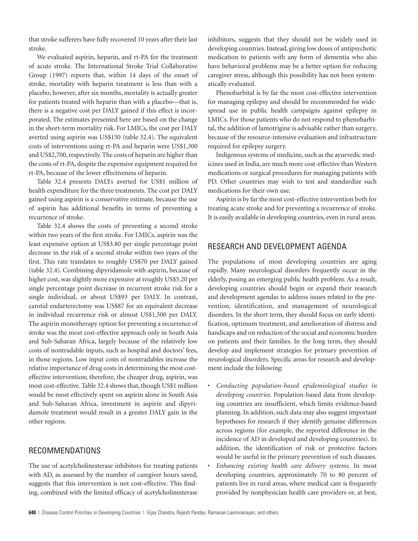that stroke sufferers have fully recovered 10 years after their last stroke.

We evaluated aspirin, heparin, and rt-PA for the treatment of acute stroke. The International Stroke Trial Collaborative Group (1997) reports that, within 14 days of the onset of stroke, mortality with heparin treatment is less than with a placebo; however, after six months, mortality is actually greater for patients treated with heparin than with a placebo—that is, there is a negative cost per DALY gained if this effect is incorporated. The estimates presented here are based on the change in the short-term mortality risk. For LMICs, the cost per DALY averted using aspirin was US\$150 (table 32.4). The equivalent costs of interventions using rt-PA and heparin were US\$1,300 and US\$2,700, respectively. The costs of heparin are higher than the costs of rt-PA, despite the expensive equipment required for rt-PA, because of the lower effectiveness of heparin.

Table 32.4 presents DALYs averted for US\$1 million of health expenditure for the three treatments. The cost per DALY gained using aspirin is a conservative estimate, because the use of aspirin has additional benefits in terms of preventing a recurrence of stroke.

Table 32.4 shows the costs of preventing a second stroke within two years of the first stroke. For LMICs, aspirin was the least expensive option at US\$3.80 per single percentage point decrease in the risk of a second stroke within two years of the first. This rate translates to roughly US\$70 per DALY gained (table 32.4). Combining dipyridamole with aspirin, because of higher cost, was slightly more expensive at roughly US\$5.20 per single percentage point decrease in recurrent stroke risk for a single individual, or about US\$93 per DALY. In contrast, carotid endarterectomy was US\$87 for an equivalent decrease in individual recurrence risk or almost US\$1,500 per DALY. The aspirin monotherapy option for preventing a recurrence of stroke was the most cost-effective approach only in South Asia and Sub-Saharan Africa, largely because of the relatively low costs of nontradable inputs, such as hospital and doctors' fees, in those regions. Low input costs of nontradables increase the relative importance of drug costs in determining the most costeffective intervention; therefore, the cheaper drug, aspirin, was most cost-effective. Table 32.4 shows that, though US\$1 million would be most effectively spent on aspirin alone in South Asia and Sub-Saharan Africa, investment in aspirin and dipyridamole treatment would result in a greater DALY gain in the other regions.

# RECOMMENDATIONS

The use of acetylcholinesterase inhibitors for treating patients with AD, as assessed by the number of caregiver hours saved, suggests that this intervention is not cost-effective. This finding, combined with the limited efficacy of acetylcholinesterase inhibitors, suggests that they should not be widely used in developing countries. Instead, giving low doses of antipsychotic medication to patients with any form of dementia who also have behavioral problems may be a better option for reducing caregiver stress, although this possibility has not been systematically evaluated.

Phenobarbital is by far the most cost-effective intervention for managing epilepsy and should be recommended for widespread use in public health campaigns against epilepsy in LMICs. For those patients who do not respond to phenobarbital, the addition of lamotrigine is advisable rather than surgery, because of the resource-intensive evaluation and infrastructure required for epilepsy surgery.

Indigenous systems of medicine, such as the ayurvedic medicines used in India, are much more cost-effective than Western medications or surgical procedures for managing patients with PD. Other countries may wish to test and standardize such medications for their own use.

Aspirin is by far the most cost-effective intervention both for treating acute stroke and for preventing a recurrence of stroke. It is easily available in developing countries, even in rural areas.

# RESEARCH AND DEVELOPMENT AGENDA

The populations of most developing countries are aging rapidly. Many neurological disorders frequently occur in the elderly, posing an emerging public health problem. As a result, developing countries should begin or expand their research and development agendas to address issues related to the prevention, identification, and management of neurological disorders. In the short term, they should focus on early identification, optimum treatment, and amelioration of distress and handicaps and on reduction of the social and economic burden on patients and their families. In the long term, they should develop and implement strategies for primary prevention of neurological disorders. Specific areas for research and development include the following:

- *Conducting population-based epidemiological studies in developing countries.* Population-based data from developing countries are insufficient, which limits evidence-based planning. In addition, such data may also suggest important hypotheses for research if they identify genuine differences across regions (for example, the reported difference in the incidence of AD in developed and developing countries). In addition, the identification of risk or protective factors would be useful in the primary prevention of such diseases.
- *Enhancing existing health care delivery systems.* In most developing countries, approximately 70 to 80 percent of patients live in rural areas, where medical care is frequently provided by nonphysician health care providers or, at best,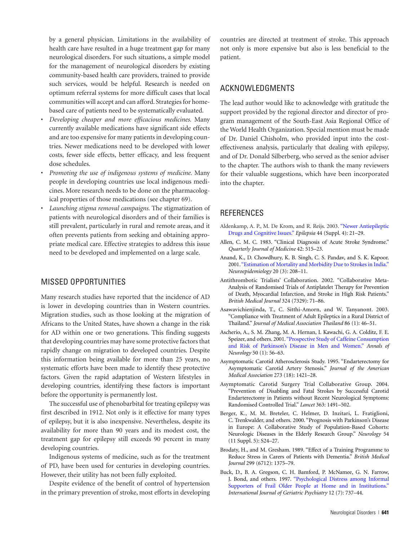by a general physician. Limitations in the availability of health care have resulted in a huge treatment gap for many neurological disorders. For such situations, a simple model for the management of neurological disorders by existing community-based health care providers, trained to provide such services, would be helpful. Research is needed on optimum referral systems for more difficult cases that local communities will accept and can afford. Strategies for homebased care of patients need to be systematically evaluated.

- *Developing cheaper and more efficacious medicines.* Many currently available medications have significant side effects and are too expensive for many patients in developing countries. Newer medications need to be developed with lower costs, fewer side effects, better efficacy, and less frequent dose schedules.
- *Promoting the use of indigenous systems of medicine.* Many people in developing countries use local indigenous medicines. More research needs to be done on the pharmacological properties of those medications (see chapter 69).
- *Launching stigma removal campaigns.* The stigmatization of patients with neurological disorders and of their families is still prevalent, particularly in rural and remote areas, and it often prevents patients from seeking and obtaining appropriate medical care. Effective strategies to address this issue need to be developed and implemented on a large scale.

# MISSED OPPORTUNITIES

Many research studies have reported that the incidence of AD is lower in developing countries than in Western countries. Migration studies, such as those looking at the migration of Africans to the United States, have shown a change in the risk for AD within one or two generations. This finding suggests that developing countries may have some protective factors that rapidly change on migration to developed countries. Despite this information being available for more than 25 years, no systematic efforts have been made to identify these protective factors. Given the rapid adaptation of Western lifestyles in developing countries, identifying these factors is important before the opportunity is permanently lost.

The successful use of phenobarbital for treating epilepsy was first described in 1912. Not only is it effective for many types of epilepsy, but it is also inexpensive. Nevertheless, despite its availability for more than 90 years and its modest cost, the treatment gap for epilepsy still exceeds 90 percent in many developing countries.

Indigenous systems of medicine, such as for the treatment of PD, have been used for centuries in developing countries. However, their utility has not been fully exploited.

Despite evidence of the benefit of control of hypertension in the primary prevention of stroke, most efforts in developing countries are directed at treatment of stroke. This approach not only is more expensive but also is less beneficial to the patient.

# ACKNOWLEDGMENTS

The lead author would like to acknowledge with gratitude the support provided by the regional director and director of program management of the South-East Asia Regional Office of the World Health Organization. Special mention must be made of Dr. Daniel Chisholm, who provided input into the costeffectiveness analysis, particularly that dealing with epilepsy, and of Dr. Donald Silberberg, who served as the senior adviser to the chapter. The authors wish to thank the many reviewers for their valuable suggestions, which have been incorporated into the chapter.

# **REFERENCES**

- Al[denkamp, A. P., M. De Krom, and R. Reijs. 2003.](http://dx.doi.org/10.1046/j.1528-1157.44.s4.3.x) "Newer Antiepileptic Drugs and Cognitive Issues." *Epilepsia* 44 (Suppl. 4): 21–29.
- Allen, C. M. C. 1983. "Clinical Diagnosis of Acute Stroke Syndrome." *Quarterly Journal of Medicine* 42: 515–23.
- Anand, K., D. Chowdhury, K. B. Singh, C. S. Pandav, and S. K. Kapoor. 2001.["Estimation of Mortality and Morbidity Due to Strokes in India."](http://dx.doi.org/10.1159/000054789) *Neuroepidemiology* 20 (3): 208–11.
- Antithrombotic Trialists' Collaboration. 2002. "Collaborative Meta-Analysis of Randomised Trials of Antiplatelet Therapy for Prevention of Death, Myocardial Infarction, and Stroke in High Risk Patients." *British Medical Journal* 324 (7329): 71–86.
- Asawavichienjinda, T., C. Sitthi-Amorn, and W. Tanyanont. 2003. "Compliance with Treatment of Adult Epileptics in a Rural District of Thailand." *Journal of Medical Association Thailand* 86 (1): 46–51.
- Ascherio, A., S. M. Zhang, M. A. Hernan, I. Kawachi, G. A. Colditz, F. E. [Speizer, and others. 2001."Prospective Study of Caffeine Consumption](http://dx.doi.org/10.1002/ana.1052) and Risk of Parkinson's Disease in Men and Women." *Annals of Neurology* 50 (1): 56–63.
- Asymptomatic Carotid Atherosclerosis Study. 1995. "Endarterectomy for Asymptomatic Carotid Artery Stenosis." *Journal of the American Medical Association* 273 (18): 1421–28.
- Asymptomatic Carotid Surgery Trial Collaborative Group. 2004. "Prevention of Disabling and Fatal Strokes by Successful Carotid Endarterectomy in Patients without Recent Neurological Symptoms: Randomised Controlled Trial." *Lancet* 363: 1491–502.
- Berger, K., M. M. Breteler, C. Helmer, D. Inzitari, L. Fratiglioni, C. Trenkwalder, and others. 2000. "Prognosis with Parkinson's Disease in Europe: A Collaborative Study of Population-Based Cohorts: Neurologic Diseases in the Elderly Research Group." *Neurology* 54 (11 Suppl. 5): S24–27.
- Brodaty, H., and M. Gresham. 1989. "Effect of a Training Programme to Reduce Stress in Carers of Patients with Dementia." *British Medical Journal* 299 (6712): 1375–79.
- Buck, D., B. A. Gregson, C. H. Bamford, P. McNamee, G. N. Farrow, J. Bond, and others. 1997. "Psychological Distress among Informal [Supporters of Frail Older People at Home and in Institutions."](http://dx.doi.org/10.1002/(SICI)1099-1166(199707)12:7<737::AID-GPS625>3.3.CO;2-2) *International Journal of Geriatric Psychiatry* 12 (7): 737–44.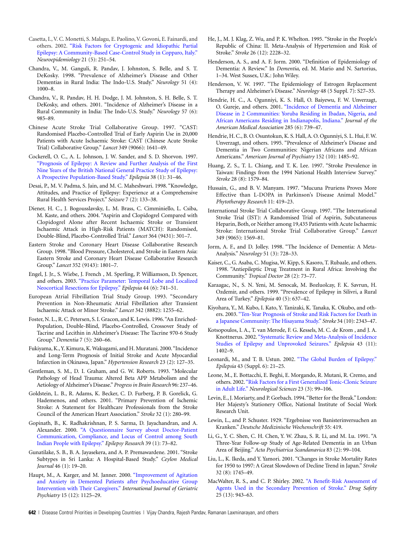- Casetta, I., V. C. Monetti, S. Malagu, E. Paolino, V. Govoni, E. Fainardi, and others. 2002. ["Risk Factors for Cryptogenic and Idiopathic Partial](http://dx.doi.org/10.1159/000065644) Epilepsy: A Community-Based Case-Control Study in Copparo, Italy." *Neuroepidemiology* 21 (5): 251–54.
- Chandra, V., M. Ganguli, R. Pandav, J. Johnston, S. Belle, and S. T. DeKosky. 1998. "Prevalence of Alzheimer's Disease and Other Dementias in Rural India: The Indo-U.S. Study." *Neurology* 51 (4): 1000–8.
- Chandra, V., R. Pandav, H. H. Dodge, J. M. Johnston, S. H. Belle, S. T. DeKosky, and others. 2001. "Incidence of Alzheimer's Disease in a Rural Community in India: The Indo-U.S. Study." *Neurology* 57 (6): 985–89.
- Chinese Acute Stroke Trial Collaborative Group. 1997. "CAST: Randomised Placebo-Controlled Trial of Early Aspirin Use in 20,000 Patients with Acute Ischaemic Stroke: CAST (Chinese Acute Stroke Trial) Collaborative Group." *Lancet* 349 (9066): 1641–49.
- Cockerell, O. C., A. L. Johnson, J. W. Sander, and S. D. Shorvon. 1997. ["Prognosis of Epilepsy: A Review and Further Analysis of the First](http://dx.doi.org/10.1111/j.1528-1157.1997.tb01075.x) Nine Years of the British National General Practice Study of Epilepsy: A Prospective Population-Based Study." *Epilepsia* 38 (1): 31–46.
- Desai, P., M. V. Padma, S. Jain, and M. C. Maheshwari. 1998. "Knowledge, Attitudes, and Practice of Epilepsy: Experience at a Comprehensive Rural Health Services Project." *Seizure* 7 (2): 133–38.
- Diener, H. C., J. Bogousslavsky, L. M. Brass, C. Cimminiello, L. Csiba, M. Kaste, and others. 2004. "Aspirin and Clopidogrel Compared with Clopidogrel Alone after Recent Ischaemic Stroke or Transient Ischaemic Attack in High-Risk Patients (MATCH): Randomised, Double-Blind, Placebo-Controlled Trial." *Lancet* 364 (9431): 301–7.
- Eastern Stroke and Coronary Heart Disease Collaborative Research Group. 1998. "Blood Pressure, Cholesterol, and Stroke in Eastern Asia: Eastern Stroke and Coronary Heart Disease Collaborative Research Group." *Lancet* 352 (9143): 1801–7.
- Engel, J. Jr., S. Wiebe, J. French , M. Sperling, P. Williamson, D. Spencer, and others. 2003. ["Practice Parameter: Temporal Lobe and Localized](http://dx.doi.org/10.1046/j.1528-1157.2003.48202.x) Neocortical Resections for Epilepsy." *Epilepsia* 44 (6): 741–51.
- European Atrial Fibrillation Trial Study Group. 1993. "Secondary Prevention in Non-Rheumatic Atrial Fibrillation after Transient Ischaemic Attack or Minor Stroke." *Lancet* 342 (8882): 1255–62.
- Foster, N. L., R. C. Petersen, S. I. Gracon, and K. Lewis. 1996."An Enriched-Population, Double-Blind, Placebo-Controlled, Crossover Study of Tacrine and Lecithin in Alzheimer's Disease: The Tacrine 970-6 Study Group." *Dementia* 7 (5): 260–66.
- Fukiyama, K., Y. Kimura, K. Wakugami, and H. Muratani. 2000."Incidence and Long-Term Prognosis of Initial Stroke and Acute Myocardial Infarction in Okinawa, Japan." *Hypertension Research* 23 (2): 127–35.
- Gentleman, S. M., D. I. Graham, and G. W. Roberts. 1993. "Molecular Pathology of Head Trauma: Altered Beta APP Metabolism and the Aetiology of Alzheimer's Disease."*Progress in Brain Research* 96: 237–46.
- Goldstein, L. B., R. Adams, K. Becker, C. D. Furberg, P. B. Gorelick, G. Hademenos, and others. 2001. "Primary Prevention of Ischemic Stroke: A Statement for Healthcare Professionals from the Stroke Council of the American Heart Association." *Stroke* 32 (1): 280–99.
- Gopinath, B., K. Radhakrishnan, P. S. Sarma, D. Jayachandran, and A. Alexander. 2000. "A Questionnaire Survey about Doctor-Patient [Communication, Compliance, and Locus of Control among South](http://dx.doi.org/10.1016/S0920-1211(99)00112-6) Indian People with Epilepsy." *Epilepsy Research* 39 (1): 73–82.
- Gunatilake, S. B., B. A. Jayasekera, and A. P. Premawardene. 2001. "Stroke Subtypes in Sri Lanka: A Hospital-Based Study." *Ceylon Medical Journal* 46 (1): 19–20.
- Haupt, M., A. Karger, and M. Janner. 2000. "Improvement of Agitation [and Anxiety in Demented Patients after Psychoeducative Group](http://dx.doi.org/10.1002/1099-1166(200012)15:12<1125::AID-GPS257>3.0.CO;2-F) Intervention with Their Caregivers." *International Journal of Geriatric Psychiatry* 15 (12): 1125–29.
- He, J., M. J. Klag, Z. Wu, and P. K. Whelton. 1995. "Stroke in the People's Republic of China: II. Meta-Analysis of Hypertension and Risk of Stroke." *Stroke* 26 (12): 2228–32.
- Henderson, A. S., and A. F. Jorm. 2000. "Definition of Epidemiology of Dementia: A Review." In *Dementia*, ed. M. Mario and N. Sartorius, 1–34. West Sussex, U.K.: John Wiley.
- Henderson, V. W. 1997. "The Epidemiology of Estrogen Replacement Therapy and Alzheimer's Disease." *Neurology* 48 (5 Suppl. 7): S27–35.
- Hendrie, H. C., A. Ogunniyi, K. S. Hall, O. Baiyewu, F. W. Unverzagt, O. Gureje, and others. 2001. "Incidence of Dementia and Alzheimer [Disease in 2 Communities: Yoruba Residing in Ibadan, Nigeria, and](http://dx.doi.org/10.1001/jama.285.6.739) African Americans Residing in Indianapolis, Indiana." *Journal of the American Medical Association* 285 (6): 739–47.
- Hendrie, H. C., B. O. Osuntokun, K. S. Hall, A. O. Ogunniyi, S. L. Hui, F. W. Unverzagt, and others. 1995. "Prevalence of Alzheimer's Disease and Dementia in Two Communities: Nigerian Africans and African Americans." *American Journal of Psychiatry* 152 (10): 1485–92.
- Huang, Z. S., T. L. Chiang, and T. K. Lee. 1997. "Stroke Prevalence in Taiwan: Findings from the 1994 National Health Interview Survey." *Stroke* 28 (8): 1579–84.
- Hussain, G., and B. V. Manyam. 1997. "Mucuna Pruriens Proves More Effective than L-DOPA in Parkinson's Disease Animal Model." *Phytotherapy Research* 11: 419–23.
- International Stroke Trial Collaborative Group. 1997. "The International Stroke Trial (IST): A Randomised Trial of Aspirin, Subcutaneous Heparin, Both, or Neither among 19,435 Patients with Acute Ischaemic Stroke: International Stroke Trial Collaborative Group." *Lancet* 349 (9065): 1569–81.
- Jorm, A. F., and D. Jolley. 1998. "The Incidence of Dementia: A Meta-Analysis." *Neurology* 51 (3): 728–33.
- Kaiser, C., G. Asaba, C. Mugisa, W. Kipp, S. Kasoro, T. Rubaale, and others. 1998. "Antiepileptic Drug Treatment in Rural Africa: Involving the Community." *Tropical Doctor* 28 (2): 73–77.
- Karaagac, N., S. N. Yeni, M. Senocak, M. Bozluolcay, F. K. Savrun, H. Ozdemir, and others. 1999. "Prevalence of Epilepsy in Silivri, a Rural Area of Turkey." *Epilepsia* 40 (5): 637–42.
- Kiyohara, Y., M. Kubo, I. Kato, Y. Tanizaki, K. Tanaka, K. Okubo, and others. 2003. ["Ten-Year Prognosis of Stroke and Risk Factors for Death in](http://dx.doi.org/10.1161/01.STR.0000091845.14833.43) a Japanese Community: The Hisayama Study." *Stroke* 34 (10): 2343–47.
- Kotsopoulos, I. A., T. van Merode, F. G. Kessels, M. C. de Krom , and J. A. Knottnerus. 2002. ["Systematic Review and Meta-Analysis of Incidence](http://dx.doi.org/10.1046/j.1528-1157.2002.t01-1-26901.x) Studies of Epilepsy and Unprovoked Seizures." *Epilepsia* 43 (11): 1402–9.
- Leonardi, M., and T. B. Ustun. 2002. ["The Global Burden of Epilepsy."](http://dx.doi.org/10.1046/j.1528-1157.43.s.6.11.x) *Epilepsia* 43 (Suppl. 6): 21–25.
- Leone, M., E. Bottacchi, E. Beghi, E. Morgando, R. Mutani, R. Cremo, and others. 2002. ["Risk Factors for a First Generalized Tonic-Clonic Seizure](http://dx.doi.org/10.1007/s100720200034) in Adult Life." *Neurological Sciences* 23 (3): 99–106.
- Levin, E., J. Moriarty, and P. Gorbach. 1994."Better for the Break." London: Her Majesty's Stationery Office, National Institute of Social Work Research Unit.
- Lewin, L., and P. Schuster. 1929. "Ergebnisse von Banisterinversuchen an Kranken." *Deutsche Medizinische Wochenschrift* 55: 419.
- Li, G., Y. C. Shen, C. H. Chen, Y. W. Zhau, S. R. Li, and M. Lu. 1991. "A Three-Year Follow-up Study of Age-Related Dementia in an Urban Area of Beijing." *Acta Psychiatrica Scandanavica* 83 (2): 99–104.
- Liu, L., K. Ikeda, and Y. Yamori. 2001. "Changes in Stroke Mortality Rates for 1950 to 1997: A Great Slowdown of Decline Trend in Japan." *Stroke* 32 (8): 1745–49.
- MacWalter, R. S., and C. P. Shirley. 2002. "A Benefit-Risk Assessment of [Agents Used in the Secondary Prevention of Stroke."](http://dx.doi.org/10.2165/00002018-200225130-00005) *Drug Safety* 25 (13): 943–63.